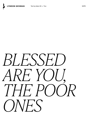

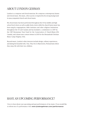## ABOUT LYNDON GEHMAN

Lyndon is a composer and choral musician. He composes contemporary hymns and choral music. His music, often sacred, is inspired by his strong background in unaccompanied church and choral music.

His choral music has been performed throughout the US by middle and high school level choirs as well as adult choirs choirs while his church hymn music has been sung by congregations, bible institutes and other religious institutions throughout the US and Canada and has included a commission in 2019 by the Cliff Brenneman Trust Fund for the Conservation of Church Music (ON, Canada), and a hymn tune contest winner in 2015 for the Shenandoah Christian Music Camp (Virginia, USA).

Beyond music, Lyndon's other interests include design, culinary experiences, and dating his beautiful wife, Tina. They live in Myerstown, Pennsylvania where they enjoy life with their two children.

## HAVE AN UPCOMING PERFORMANCE?

I love to hear about your upcoming and past performances of my music. If you would like to inform me of a performance visit: www.lyndongehman.com/performance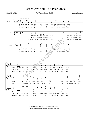## Blessed Are You, The Poor Ones

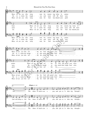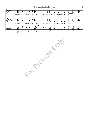

For Precised Only